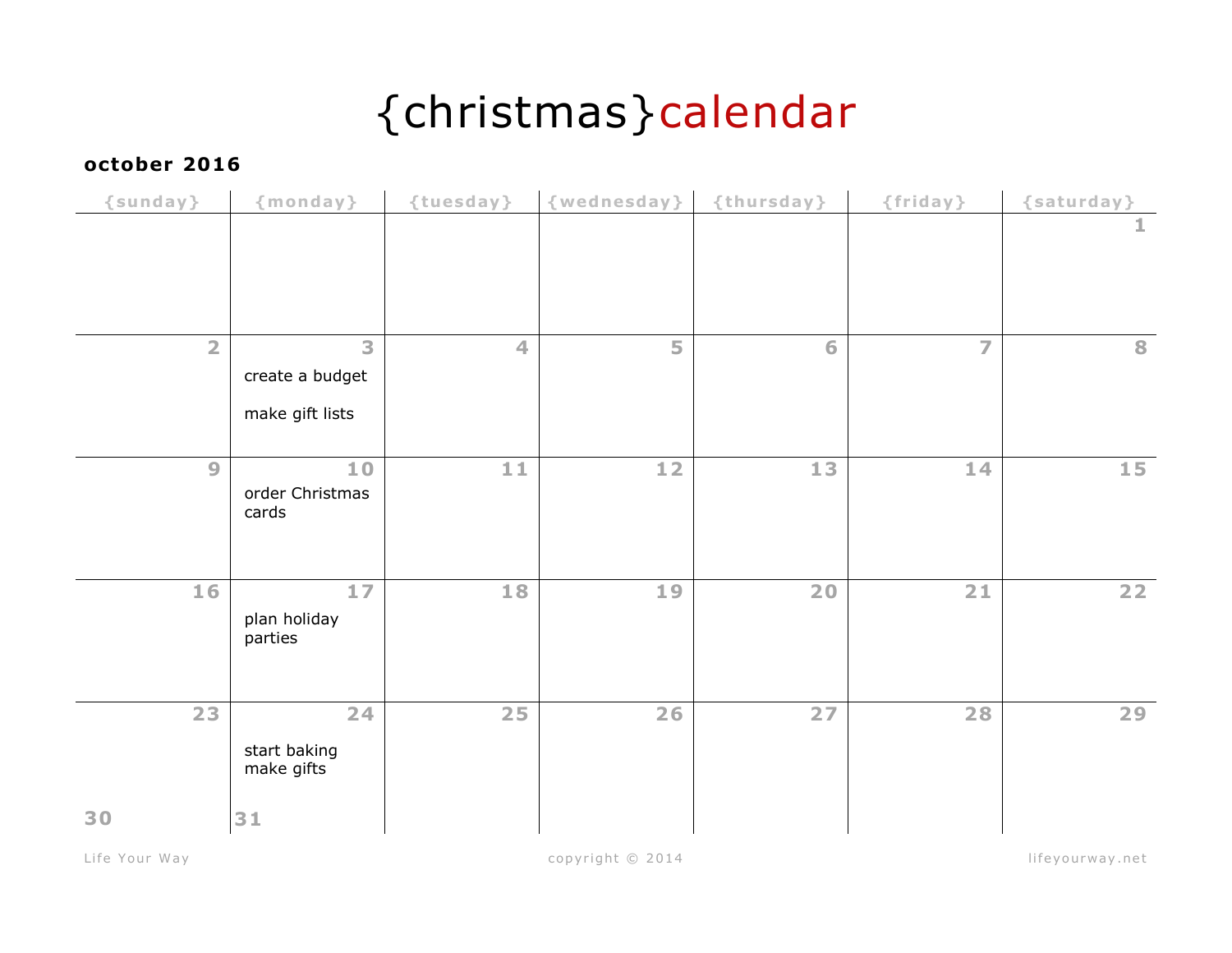# {christmas}calendar

### **october 2016**

| $\{sumd$       | {monday}                                | {tuesday}            | {wednesday} | {thursday} | {friday}       | {saturday}      |
|----------------|-----------------------------------------|----------------------|-------------|------------|----------------|-----------------|
|                |                                         |                      |             |            |                | 1               |
| $\overline{2}$ | 3<br>create a budget<br>make gift lists | $\blacktriangleleft$ | 5           | 6          | $\overline{z}$ | 8               |
| 9              | 10<br>order Christmas<br>cards          | 11                   | 12          | 13         | 14             | 15 <sub>1</sub> |
| 16             | 17<br>plan holiday<br>parties           | 18                   | 19          | 20         | 21             | 22              |
| 23<br>30       | 24<br>start baking<br>make gifts<br>31  | 25                   | 26          | 27         | 28             | 29              |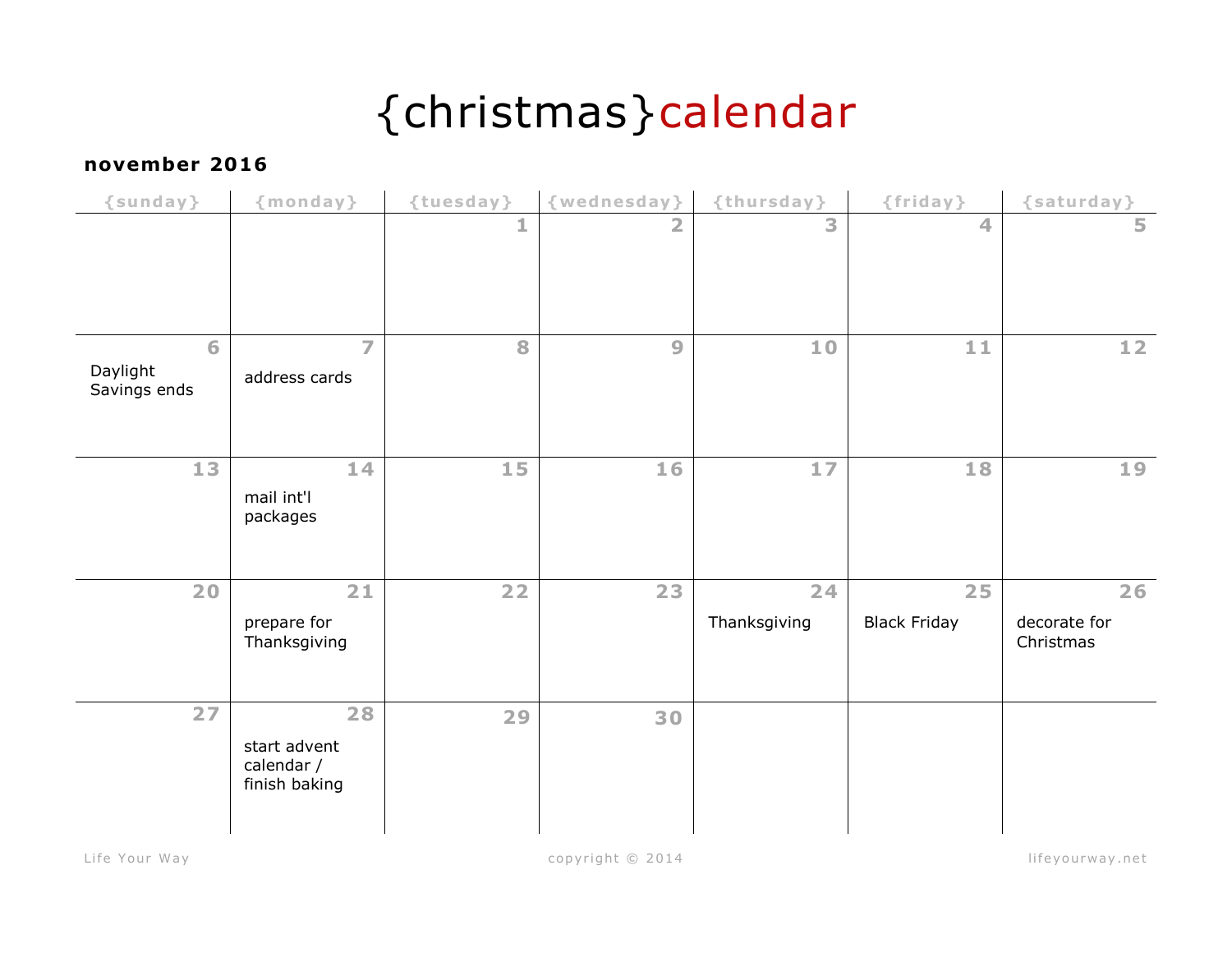# {christmas}calendar

#### **november 2016**

| {sunday}                      | {monday}                                          | {tuesday} | {wednesday}    | {thursday}     | {friday}            | {saturday}                |
|-------------------------------|---------------------------------------------------|-----------|----------------|----------------|---------------------|---------------------------|
|                               |                                                   | 1         | $\overline{2}$ | $\overline{3}$ | 4                   | 5                         |
|                               |                                                   |           |                |                |                     |                           |
|                               |                                                   |           |                |                |                     |                           |
| 6<br>Daylight<br>Savings ends | $\overline{7}$<br>address cards                   | 8         | 9              | 10             | 11                  | 12                        |
|                               |                                                   |           |                |                |                     |                           |
| 13                            | 14<br>mail int'l<br>packages                      | 15        | 16             | 17             | 18                  | 19                        |
| 20                            | 21                                                | 22        | 23             | 24             | 25                  | 26                        |
|                               | prepare for<br>Thanksgiving                       |           |                | Thanksgiving   | <b>Black Friday</b> | decorate for<br>Christmas |
| 27                            | 28<br>start advent<br>calendar /<br>finish baking | 29        | 30             |                |                     |                           |